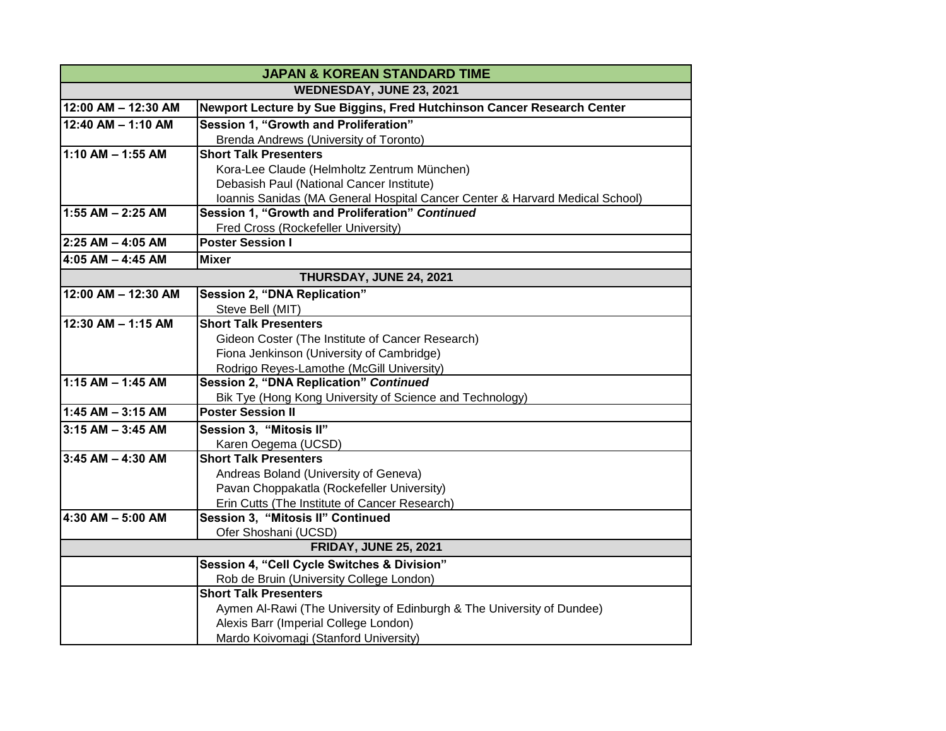| <b>JAPAN &amp; KOREAN STANDARD TIME</b> |                                                                              |
|-----------------------------------------|------------------------------------------------------------------------------|
| WEDNESDAY, JUNE 23, 2021                |                                                                              |
| 12:00 AM - 12:30 AM                     | Newport Lecture by Sue Biggins, Fred Hutchinson Cancer Research Center       |
| $12:40$ AM - 1:10 AM                    | Session 1, "Growth and Proliferation"                                        |
|                                         | Brenda Andrews (University of Toronto)                                       |
| $1:10$ AM - 1:55 AM                     | <b>Short Talk Presenters</b>                                                 |
|                                         | Kora-Lee Claude (Helmholtz Zentrum München)                                  |
|                                         | Debasish Paul (National Cancer Institute)                                    |
|                                         | Ioannis Sanidas (MA General Hospital Cancer Center & Harvard Medical School) |
| 1:55 AM $-$ 2:25 AM                     | Session 1, "Growth and Proliferation" Continued                              |
|                                         | Fred Cross (Rockefeller University)                                          |
| 2:25 AM - 4:05 AM                       | <b>Poster Session I</b>                                                      |
| 4:05 AM $-$ 4:45 AM                     | <b>Mixer</b>                                                                 |
| THURSDAY, JUNE 24, 2021                 |                                                                              |
| 12:00 AM - 12:30 AM                     | <b>Session 2, "DNA Replication"</b>                                          |
|                                         | Steve Bell (MIT)                                                             |
| 12:30 AM - 1:15 AM                      | <b>Short Talk Presenters</b>                                                 |
|                                         | Gideon Coster (The Institute of Cancer Research)                             |
|                                         | Fiona Jenkinson (University of Cambridge)                                    |
|                                         | Rodrigo Reyes-Lamothe (McGill University)                                    |
| 1:15 AM $-$ 1:45 AM                     | Session 2, "DNA Replication" Continued                                       |
|                                         | Bik Tye (Hong Kong University of Science and Technology)                     |
| $1:45$ AM $-3:15$ AM                    | <b>Poster Session II</b>                                                     |
| $3:15$ AM $-$ 3:45 AM                   | Session 3, "Mitosis II"                                                      |
|                                         | Karen Oegema (UCSD)                                                          |
| $3:45$ AM - 4:30 AM                     | <b>Short Talk Presenters</b>                                                 |
|                                         | Andreas Boland (University of Geneva)                                        |
|                                         | Pavan Choppakatla (Rockefeller University)                                   |
|                                         | Erin Cutts (The Institute of Cancer Research)                                |
| 4:30 AM $-$ 5:00 AM                     | Session 3, "Mitosis II" Continued                                            |
|                                         | Ofer Shoshani (UCSD)                                                         |
| <b>FRIDAY, JUNE 25, 2021</b>            |                                                                              |
|                                         | Session 4, "Cell Cycle Switches & Division"                                  |
|                                         | Rob de Bruin (University College London)                                     |
|                                         | <b>Short Talk Presenters</b>                                                 |
|                                         | Aymen Al-Rawi (The University of Edinburgh & The University of Dundee)       |
|                                         | Alexis Barr (Imperial College London)                                        |
|                                         | Mardo Koivomagi (Stanford University)                                        |